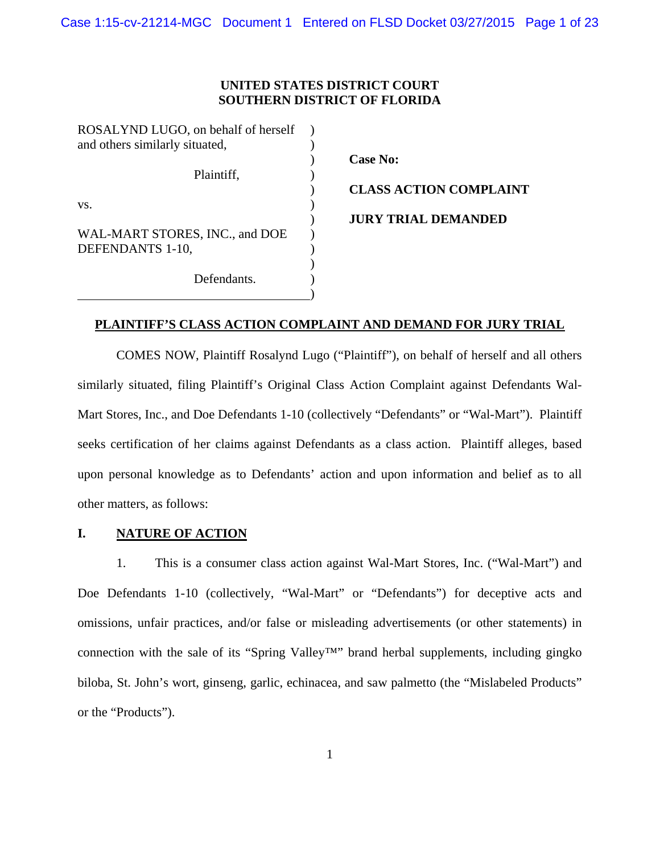#### **UNITED STATES DISTRICT COURT SOUTHERN DISTRICT OF FLORIDA**

| ROSALYND LUGO, on behalf of herself |  |  |  |  |
|-------------------------------------|--|--|--|--|
| and others similarly situated,      |  |  |  |  |
|                                     |  |  |  |  |
| Plaintiff,                          |  |  |  |  |
|                                     |  |  |  |  |
| VS.                                 |  |  |  |  |
|                                     |  |  |  |  |
| WAL-MART STORES, INC., and DOE      |  |  |  |  |
| DEFENDANTS 1-10,                    |  |  |  |  |
|                                     |  |  |  |  |
| Defendants.                         |  |  |  |  |

)

 ) **Case No:** ) **CLASS ACTION COMPLAINT**  ) **JURY TRIAL DEMANDED** 

#### **PLAINTIFF'S CLASS ACTION COMPLAINT AND DEMAND FOR JURY TRIAL**

COMES NOW, Plaintiff Rosalynd Lugo ("Plaintiff"), on behalf of herself and all others similarly situated, filing Plaintiff's Original Class Action Complaint against Defendants Wal-Mart Stores, Inc., and Doe Defendants 1-10 (collectively "Defendants" or "Wal-Mart"). Plaintiff seeks certification of her claims against Defendants as a class action. Plaintiff alleges, based upon personal knowledge as to Defendants' action and upon information and belief as to all other matters, as follows:

#### **I. NATURE OF ACTION**

1. This is a consumer class action against Wal-Mart Stores, Inc. ("Wal-Mart") and Doe Defendants 1-10 (collectively, "Wal-Mart" or "Defendants") for deceptive acts and omissions, unfair practices, and/or false or misleading advertisements (or other statements) in connection with the sale of its "Spring Valley™" brand herbal supplements, including gingko biloba, St. John's wort, ginseng, garlic, echinacea, and saw palmetto (the "Mislabeled Products" or the "Products").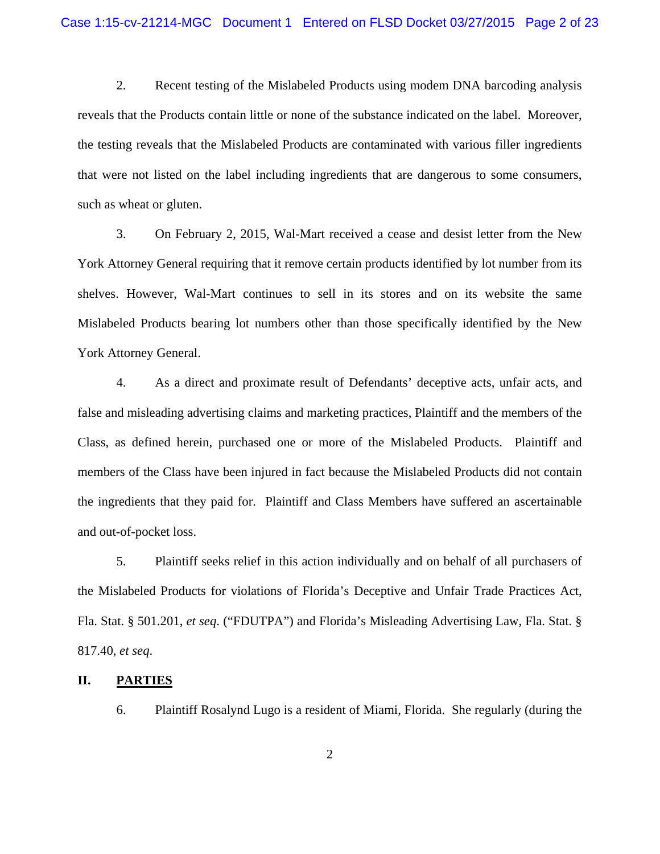2. Recent testing of the Mislabeled Products using modem DNA barcoding analysis reveals that the Products contain little or none of the substance indicated on the label. Moreover, the testing reveals that the Mislabeled Products are contaminated with various filler ingredients that were not listed on the label including ingredients that are dangerous to some consumers, such as wheat or gluten.

3. On February 2, 2015, Wal-Mart received a cease and desist letter from the New York Attorney General requiring that it remove certain products identified by lot number from its shelves. However, Wal-Mart continues to sell in its stores and on its website the same Mislabeled Products bearing lot numbers other than those specifically identified by the New York Attorney General.

4. As a direct and proximate result of Defendants' deceptive acts, unfair acts, and false and misleading advertising claims and marketing practices, Plaintiff and the members of the Class, as defined herein, purchased one or more of the Mislabeled Products. Plaintiff and members of the Class have been injured in fact because the Mislabeled Products did not contain the ingredients that they paid for. Plaintiff and Class Members have suffered an ascertainable and out-of-pocket loss.

5. Plaintiff seeks relief in this action individually and on behalf of all purchasers of the Mislabeled Products for violations of Florida's Deceptive and Unfair Trade Practices Act, Fla. Stat. § 501.201, *et seq*. ("FDUTPA") and Florida's Misleading Advertising Law, Fla. Stat. § 817.40, *et seq*.

#### **II. PARTIES**

6. Plaintiff Rosalynd Lugo is a resident of Miami, Florida. She regularly (during the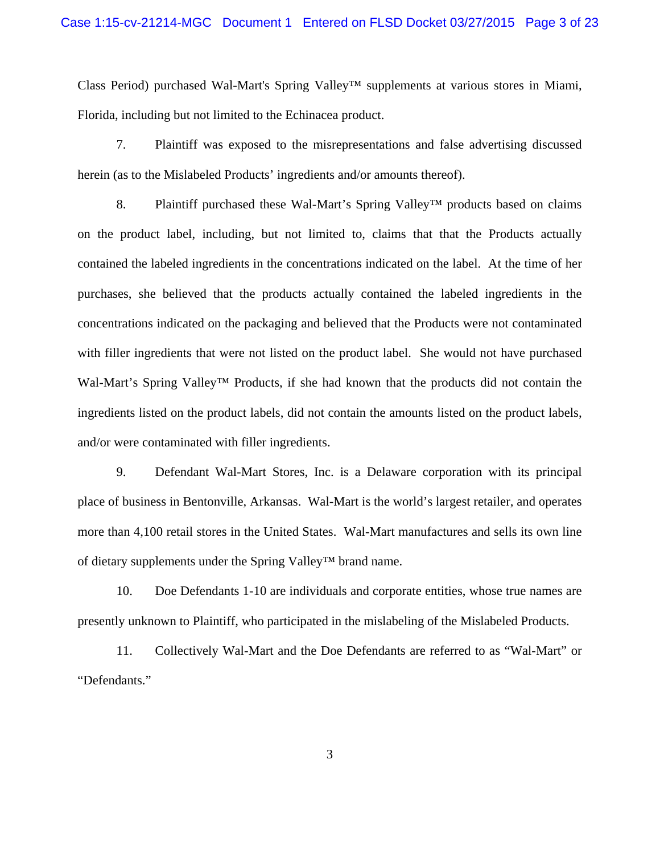Class Period) purchased Wal-Mart's Spring Valley™ supplements at various stores in Miami, Florida, including but not limited to the Echinacea product.

7. Plaintiff was exposed to the misrepresentations and false advertising discussed herein (as to the Mislabeled Products' ingredients and/or amounts thereof).

8. Plaintiff purchased these Wal-Mart's Spring Valley<sup>™</sup> products based on claims on the product label, including, but not limited to, claims that that the Products actually contained the labeled ingredients in the concentrations indicated on the label. At the time of her purchases, she believed that the products actually contained the labeled ingredients in the concentrations indicated on the packaging and believed that the Products were not contaminated with filler ingredients that were not listed on the product label. She would not have purchased Wal-Mart's Spring Valley™ Products, if she had known that the products did not contain the ingredients listed on the product labels, did not contain the amounts listed on the product labels, and/or were contaminated with filler ingredients.

9. Defendant Wal-Mart Stores, Inc. is a Delaware corporation with its principal place of business in Bentonville, Arkansas. Wal-Mart is the world's largest retailer, and operates more than 4,100 retail stores in the United States. Wal-Mart manufactures and sells its own line of dietary supplements under the Spring Valley™ brand name.

10. Doe Defendants 1-10 are individuals and corporate entities, whose true names are presently unknown to Plaintiff, who participated in the mislabeling of the Mislabeled Products.

11. Collectively Wal-Mart and the Doe Defendants are referred to as "Wal-Mart" or "Defendants."

3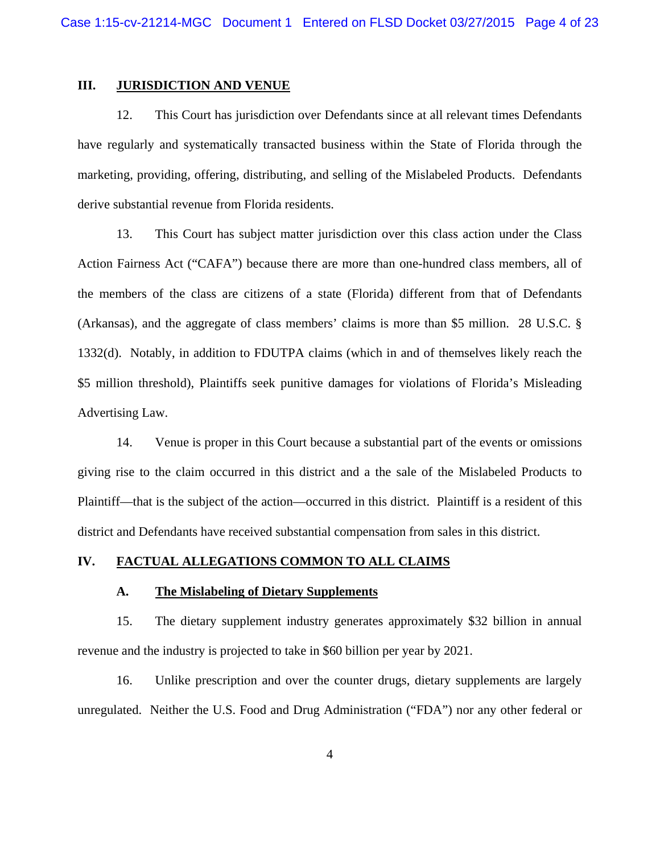#### **III. JURISDICTION AND VENUE**

12. This Court has jurisdiction over Defendants since at all relevant times Defendants have regularly and systematically transacted business within the State of Florida through the marketing, providing, offering, distributing, and selling of the Mislabeled Products. Defendants derive substantial revenue from Florida residents.

13. This Court has subject matter jurisdiction over this class action under the Class Action Fairness Act ("CAFA") because there are more than one-hundred class members, all of the members of the class are citizens of a state (Florida) different from that of Defendants (Arkansas), and the aggregate of class members' claims is more than \$5 million. 28 U.S.C. § 1332(d). Notably, in addition to FDUTPA claims (which in and of themselves likely reach the \$5 million threshold), Plaintiffs seek punitive damages for violations of Florida's Misleading Advertising Law.

14. Venue is proper in this Court because a substantial part of the events or omissions giving rise to the claim occurred in this district and a the sale of the Mislabeled Products to Plaintiff—that is the subject of the action—occurred in this district. Plaintiff is a resident of this district and Defendants have received substantial compensation from sales in this district.

#### **IV. FACTUAL ALLEGATIONS COMMON TO ALL CLAIMS**

#### **A. The Mislabeling of Dietary Supplements**

15. The dietary supplement industry generates approximately \$32 billion in annual revenue and the industry is projected to take in \$60 billion per year by 2021.

16. Unlike prescription and over the counter drugs, dietary supplements are largely unregulated. Neither the U.S. Food and Drug Administration ("FDA") nor any other federal or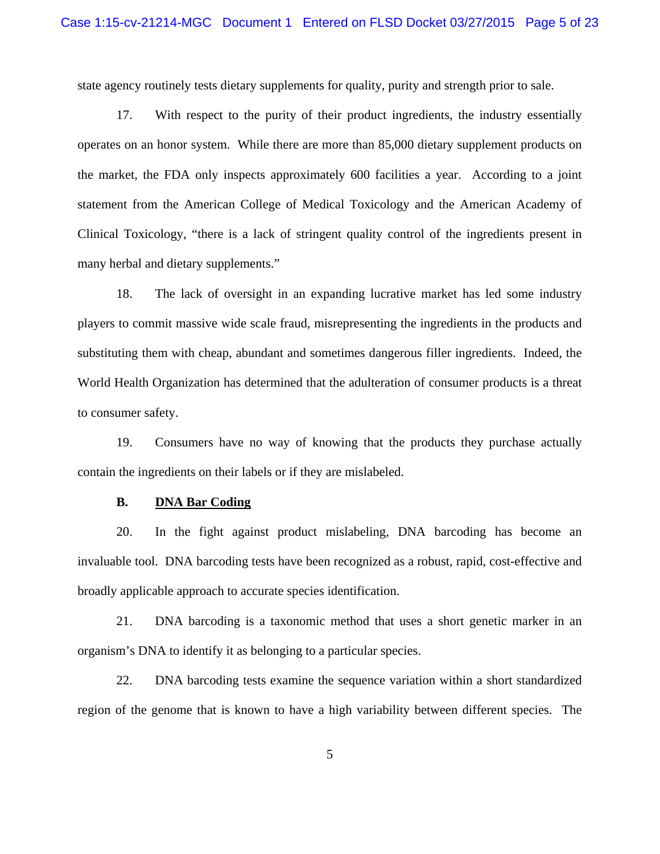state agency routinely tests dietary supplements for quality, purity and strength prior to sale.

17. With respect to the purity of their product ingredients, the industry essentially operates on an honor system. While there are more than 85,000 dietary supplement products on the market, the FDA only inspects approximately 600 facilities a year. According to a joint statement from the American College of Medical Toxicology and the American Academy of Clinical Toxicology, "there is a lack of stringent quality control of the ingredients present in many herbal and dietary supplements."

18. The lack of oversight in an expanding lucrative market has led some industry players to commit massive wide scale fraud, misrepresenting the ingredients in the products and substituting them with cheap, abundant and sometimes dangerous filler ingredients. Indeed, the World Health Organization has determined that the adulteration of consumer products is a threat to consumer safety.

19. Consumers have no way of knowing that the products they purchase actually contain the ingredients on their labels or if they are mislabeled.

#### **B. DNA Bar Coding**

20. In the fight against product mislabeling, DNA barcoding has become an invaluable tool. DNA barcoding tests have been recognized as a robust, rapid, cost-effective and broadly applicable approach to accurate species identification.

21. DNA barcoding is a taxonomic method that uses a short genetic marker in an organism's DNA to identify it as belonging to a particular species.

22. DNA barcoding tests examine the sequence variation within a short standardized region of the genome that is known to have a high variability between different species. The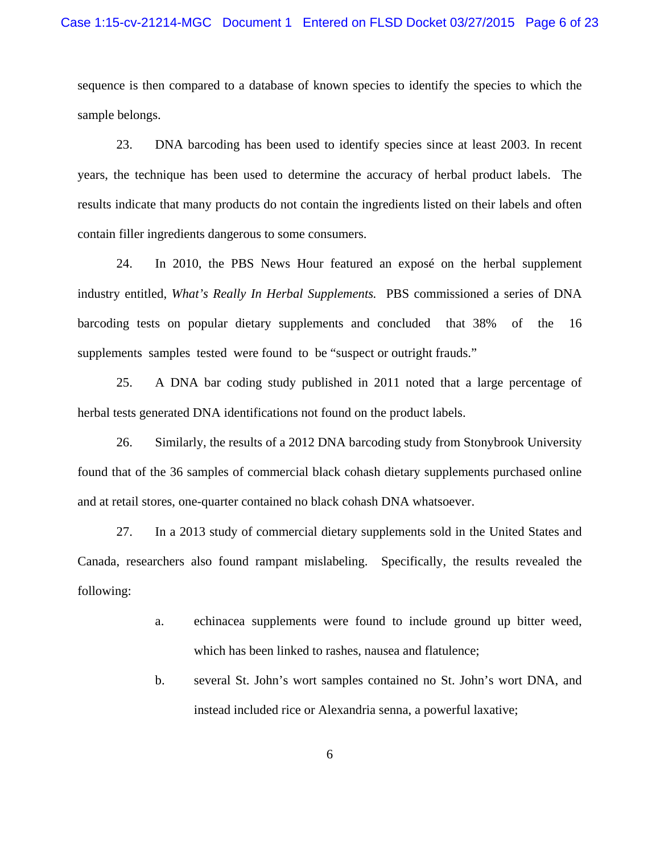#### Case 1:15-cv-21214-MGC Document 1 Entered on FLSD Docket 03/27/2015 Page 6 of 23

sequence is then compared to a database of known species to identify the species to which the sample belongs.

23. DNA barcoding has been used to identify species since at least 2003. In recent years, the technique has been used to determine the accuracy of herbal product labels. The results indicate that many products do not contain the ingredients listed on their labels and often contain filler ingredients dangerous to some consumers.

24. In 2010, the PBS News Hour featured an exposé on the herbal supplement industry entitled, *What's Really In Herbal Supplements.* PBS commissioned a series of DNA barcoding tests on popular dietary supplements and concluded that 38% of the 16 supplements samples tested were found to be "suspect or outright frauds."

25. A DNA bar coding study published in 2011 noted that a large percentage of herbal tests generated DNA identifications not found on the product labels.

26. Similarly, the results of a 2012 DNA barcoding study from Stonybrook University found that of the 36 samples of commercial black cohash dietary supplements purchased online and at retail stores, one-quarter contained no black cohash DNA whatsoever.

27. In a 2013 study of commercial dietary supplements sold in the United States and Canada, researchers also found rampant mislabeling. Specifically, the results revealed the following:

- a. echinacea supplements were found to include ground up bitter weed, which has been linked to rashes, nausea and flatulence;
- b. several St. John's wort samples contained no St. John's wort DNA, and instead included rice or Alexandria senna, a powerful laxative;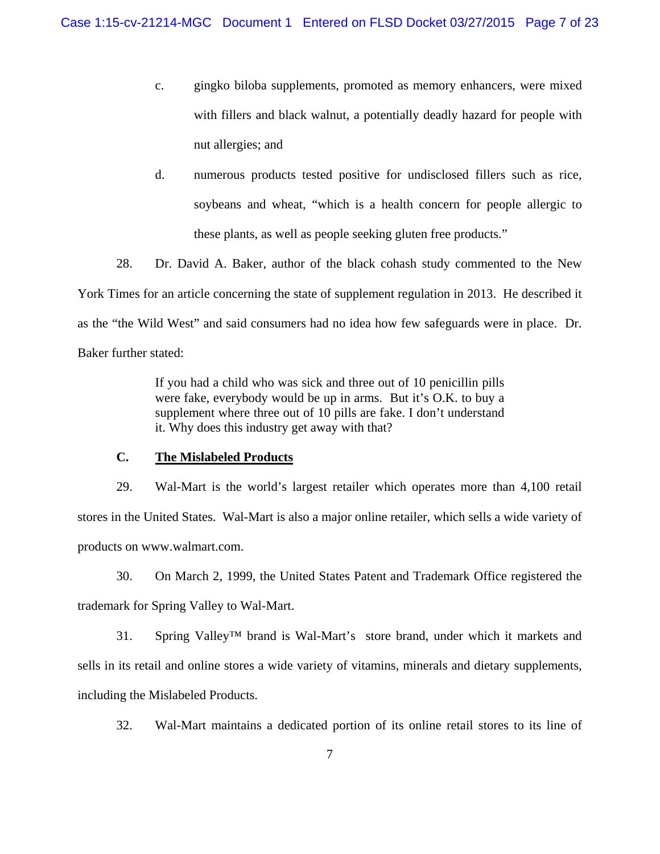- c. gingko biloba supplements, promoted as memory enhancers, were mixed with fillers and black walnut, a potentially deadly hazard for people with nut allergies; and
- d. numerous products tested positive for undisclosed fillers such as rice, soybeans and wheat, "which is a health concern for people allergic to these plants, as well as people seeking gluten free products."

28. Dr. David A. Baker, author of the black cohash study commented to the New York Times for an article concerning the state of supplement regulation in 2013. He described it as the "the Wild West" and said consumers had no idea how few safeguards were in place. Dr. Baker further stated:

> If you had a child who was sick and three out of 10 penicillin pills were fake, everybody would be up in arms. But it's O.K. to buy a supplement where three out of 10 pills are fake. I don't understand it. Why does this industry get away with that?

#### **C. The Mislabeled Products**

29. Wal-Mart is the world's largest retailer which operates more than 4,100 retail stores in the United States. Wal-Mart is also a major online retailer, which sells a wide variety of products on www.walmart.com.

30. On March 2, 1999, the United States Patent and Trademark Office registered the trademark for Spring Valley to Wal-Mart.

31. Spring Valley™ brand is Wal-Mart's store brand, under which it markets and sells in its retail and online stores a wide variety of vitamins, minerals and dietary supplements, including the Mislabeled Products.

32. Wal-Mart maintains a dedicated portion of its online retail stores to its line of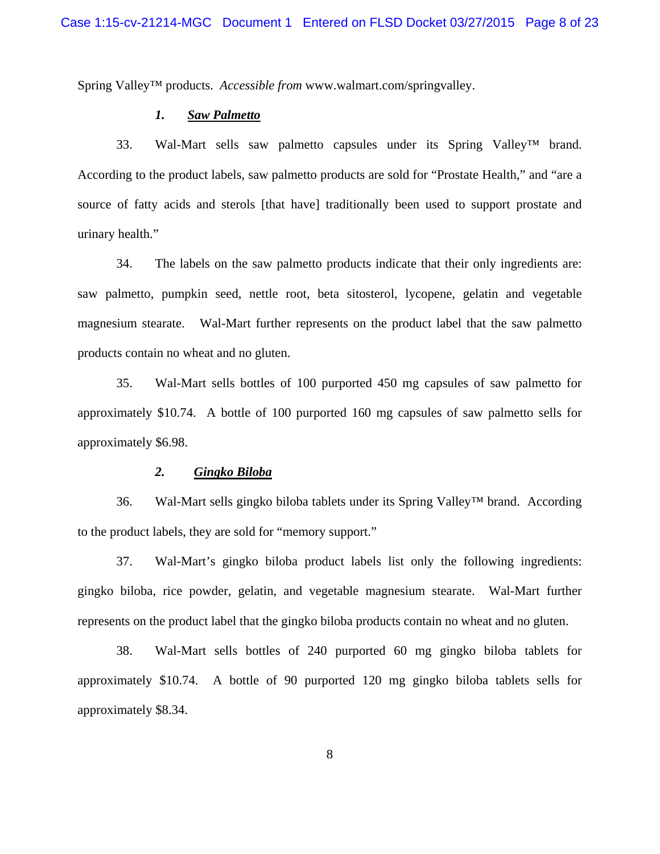Spring Valley™ products. *Accessible from* www.walmart.com/springvalley.

#### *1. Saw Palmetto*

33. Wal-Mart sells saw palmetto capsules under its Spring Valley™ brand. According to the product labels, saw palmetto products are sold for "Prostate Health," and "are a source of fatty acids and sterols [that have] traditionally been used to support prostate and urinary health."

34. The labels on the saw palmetto products indicate that their only ingredients are: saw palmetto, pumpkin seed, nettle root, beta sitosterol, lycopene, gelatin and vegetable magnesium stearate. Wal-Mart further represents on the product label that the saw palmetto products contain no wheat and no gluten.

35. Wal-Mart sells bottles of 100 purported 450 mg capsules of saw palmetto for approximately \$10.74. A bottle of 100 purported 160 mg capsules of saw palmetto sells for approximately \$6.98.

#### *2. Gingko Biloba*

36. Wal-Mart sells gingko biloba tablets under its Spring Valley™ brand. According to the product labels, they are sold for "memory support."

37. Wal-Mart's gingko biloba product labels list only the following ingredients: gingko biloba, rice powder, gelatin, and vegetable magnesium stearate. Wal-Mart further represents on the product label that the gingko biloba products contain no wheat and no gluten.

38. Wal-Mart sells bottles of 240 purported 60 mg gingko biloba tablets for approximately \$10.74. A bottle of 90 purported 120 mg gingko biloba tablets sells for approximately \$8.34.

8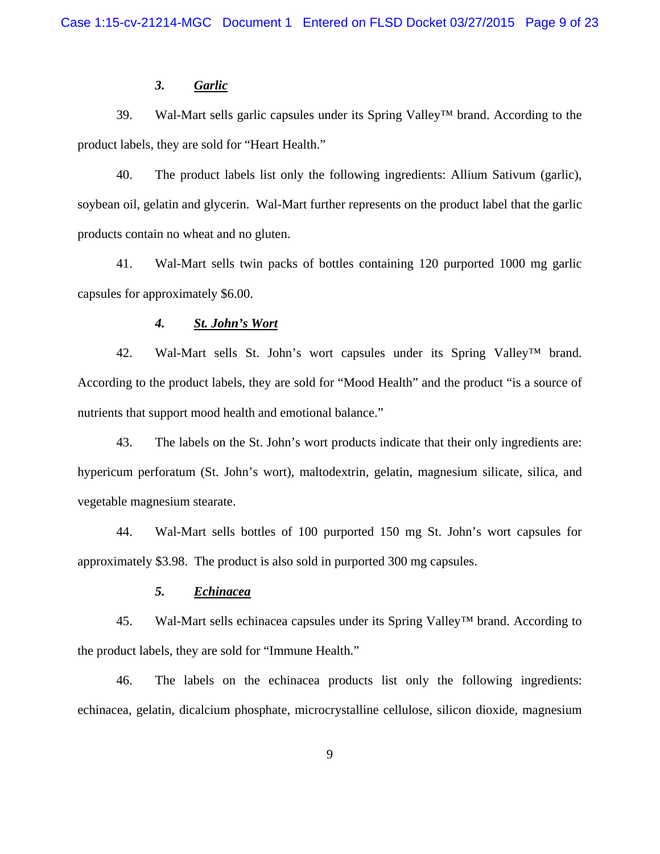#### *3. Garlic*

39. Wal-Mart sells garlic capsules under its Spring Valley™ brand. According to the product labels, they are sold for "Heart Health."

40. The product labels list only the following ingredients: Allium Sativum (garlic), soybean oil, gelatin and glycerin. Wal-Mart further represents on the product label that the garlic products contain no wheat and no gluten.

41. Wal-Mart sells twin packs of bottles containing 120 purported 1000 mg garlic capsules for approximately \$6.00.

#### *4. St. John's Wort*

42. Wal-Mart sells St. John's wort capsules under its Spring Valley™ brand. According to the product labels, they are sold for "Mood Health" and the product "is a source of nutrients that support mood health and emotional balance."

43. The labels on the St. John's wort products indicate that their only ingredients are: hypericum perforatum (St. John's wort), maltodextrin, gelatin, magnesium silicate, silica, and vegetable magnesium stearate.

44. Wal-Mart sells bottles of 100 purported 150 mg St. John's wort capsules for approximately \$3.98. The product is also sold in purported 300 mg capsules.

#### *5. Echinacea*

45. Wal-Mart sells echinacea capsules under its Spring Valley™ brand. According to the product labels, they are sold for "Immune Health."

46. The labels on the echinacea products list only the following ingredients: echinacea, gelatin, dicalcium phosphate, microcrystalline cellulose, silicon dioxide, magnesium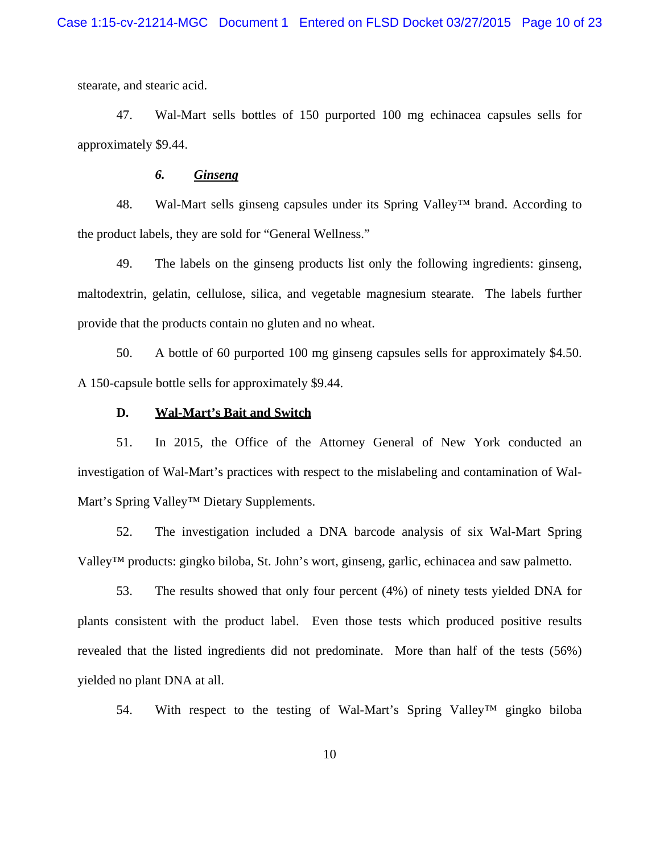stearate, and stearic acid.

47. Wal-Mart sells bottles of 150 purported 100 mg echinacea capsules sells for approximately \$9.44.

#### *6. Ginseng*

48. Wal-Mart sells ginseng capsules under its Spring Valley™ brand. According to the product labels, they are sold for "General Wellness."

49. The labels on the ginseng products list only the following ingredients: ginseng, maltodextrin, gelatin, cellulose, silica, and vegetable magnesium stearate. The labels further provide that the products contain no gluten and no wheat.

50. A bottle of 60 purported 100 mg ginseng capsules sells for approximately \$4.50. A 150-capsule bottle sells for approximately \$9.44.

#### **D. Wal-Mart's Bait and Switch**

51. In 2015, the Office of the Attorney General of New York conducted an investigation of Wal-Mart's practices with respect to the mislabeling and contamination of Wal-Mart's Spring Valley™ Dietary Supplements.

52. The investigation included a DNA barcode analysis of six Wal-Mart Spring Valley™ products: gingko biloba, St. John's wort, ginseng, garlic, echinacea and saw palmetto.

53. The results showed that only four percent (4%) of ninety tests yielded DNA for plants consistent with the product label. Even those tests which produced positive results revealed that the listed ingredients did not predominate. More than half of the tests (56%) yielded no plant DNA at all.

54. With respect to the testing of Wal-Mart's Spring Valley™ gingko biloba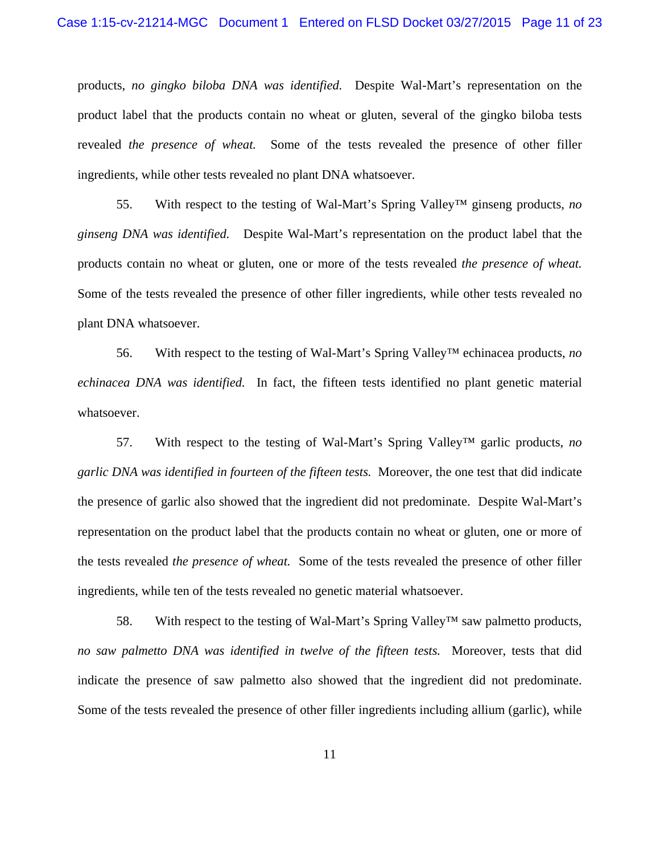products, *no gingko biloba DNA was identified.* Despite Wal-Mart's representation on the product label that the products contain no wheat or gluten, several of the gingko biloba tests revealed *the presence of wheat.* Some of the tests revealed the presence of other filler ingredients, while other tests revealed no plant DNA whatsoever.

55. With respect to the testing of Wal-Mart's Spring Valley™ ginseng products, *no ginseng DNA was identified.* Despite Wal-Mart's representation on the product label that the products contain no wheat or gluten, one or more of the tests revealed *the presence of wheat.*  Some of the tests revealed the presence of other filler ingredients, while other tests revealed no plant DNA whatsoever.

56. With respect to the testing of Wal-Mart's Spring Valley™ echinacea products, *no echinacea DNA was identified.* In fact, the fifteen tests identified no plant genetic material whatsoever.

57. With respect to the testing of Wal-Mart's Spring Valley™ garlic products, *no garlic DNA was identified in fourteen of the fifteen tests.* Moreover, the one test that did indicate the presence of garlic also showed that the ingredient did not predominate. Despite Wal-Mart's representation on the product label that the products contain no wheat or gluten, one or more of the tests revealed *the presence of wheat.* Some of the tests revealed the presence of other filler ingredients, while ten of the tests revealed no genetic material whatsoever.

58. With respect to the testing of Wal-Mart's Spring Valley™ saw palmetto products, *no saw palmetto DNA was identified in twelve of the fifteen tests.* Moreover, tests that did indicate the presence of saw palmetto also showed that the ingredient did not predominate. Some of the tests revealed the presence of other filler ingredients including allium (garlic), while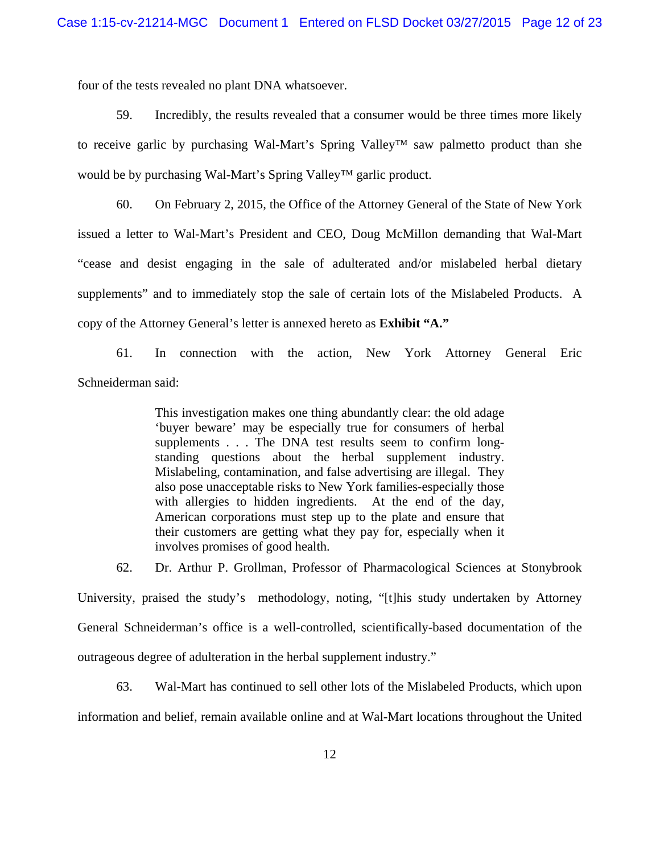four of the tests revealed no plant DNA whatsoever.

59. Incredibly, the results revealed that a consumer would be three times more likely to receive garlic by purchasing Wal-Mart's Spring Valley™ saw palmetto product than she would be by purchasing Wal-Mart's Spring Valley™ garlic product.

60. On February 2, 2015, the Office of the Attorney General of the State of New York issued a letter to Wal-Mart's President and CEO, Doug McMillon demanding that Wal-Mart "cease and desist engaging in the sale of adulterated and/or mislabeled herbal dietary supplements" and to immediately stop the sale of certain lots of the Mislabeled Products. A copy of the Attorney General's letter is annexed hereto as **Exhibit "A."**

61. In connection with the action, New York Attorney General Eric Schneiderman said:

> This investigation makes one thing abundantly clear: the old adage 'buyer beware' may be especially true for consumers of herbal supplements . . . The DNA test results seem to confirm longstanding questions about the herbal supplement industry. Mislabeling, contamination, and false advertising are illegal. They also pose unacceptable risks to New York families-especially those with allergies to hidden ingredients. At the end of the day, American corporations must step up to the plate and ensure that their customers are getting what they pay for, especially when it involves promises of good health.

62. Dr. Arthur P. Grollman, Professor of Pharmacological Sciences at Stonybrook

University, praised the study's methodology, noting, "[t]his study undertaken by Attorney General Schneiderman's office is a well-controlled, scientifically-based documentation of the outrageous degree of adulteration in the herbal supplement industry."

63. Wal-Mart has continued to sell other lots of the Mislabeled Products, which upon information and belief, remain available online and at Wal-Mart locations throughout the United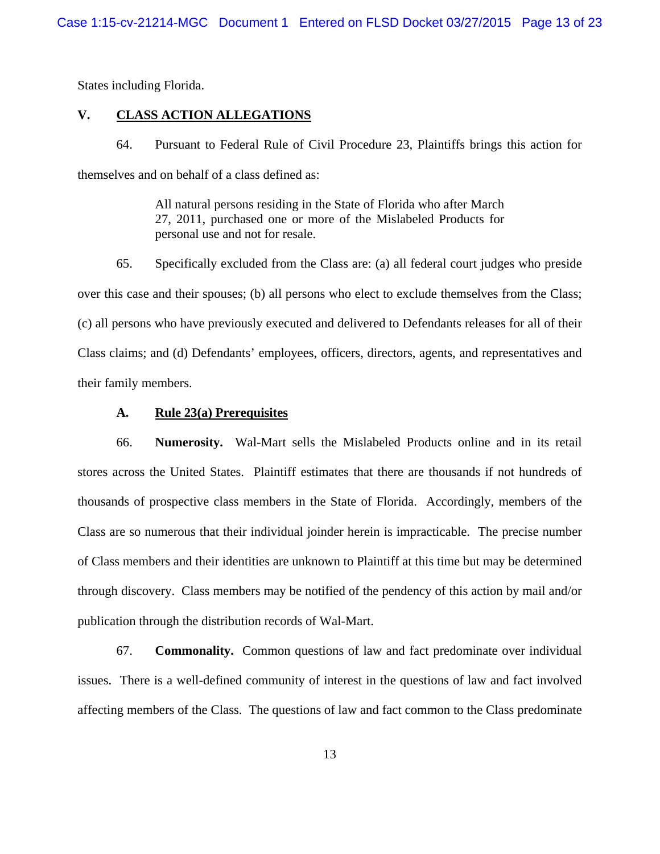States including Florida.

#### **V. CLASS ACTION ALLEGATIONS**

64. Pursuant to Federal Rule of Civil Procedure 23, Plaintiffs brings this action for themselves and on behalf of a class defined as:

> All natural persons residing in the State of Florida who after March 27, 2011, purchased one or more of the Mislabeled Products for personal use and not for resale.

65. Specifically excluded from the Class are: (a) all federal court judges who preside over this case and their spouses; (b) all persons who elect to exclude themselves from the Class; (c) all persons who have previously executed and delivered to Defendants releases for all of their Class claims; and (d) Defendants' employees, officers, directors, agents, and representatives and their family members.

#### **A. Rule 23(a) Prerequisites**

66. **Numerosity.** Wal-Mart sells the Mislabeled Products online and in its retail stores across the United States. Plaintiff estimates that there are thousands if not hundreds of thousands of prospective class members in the State of Florida. Accordingly, members of the Class are so numerous that their individual joinder herein is impracticable. The precise number of Class members and their identities are unknown to Plaintiff at this time but may be determined through discovery. Class members may be notified of the pendency of this action by mail and/or publication through the distribution records of Wal-Mart.

67. **Commonality.** Common questions of law and fact predominate over individual issues. There is a well-defined community of interest in the questions of law and fact involved affecting members of the Class. The questions of law and fact common to the Class predominate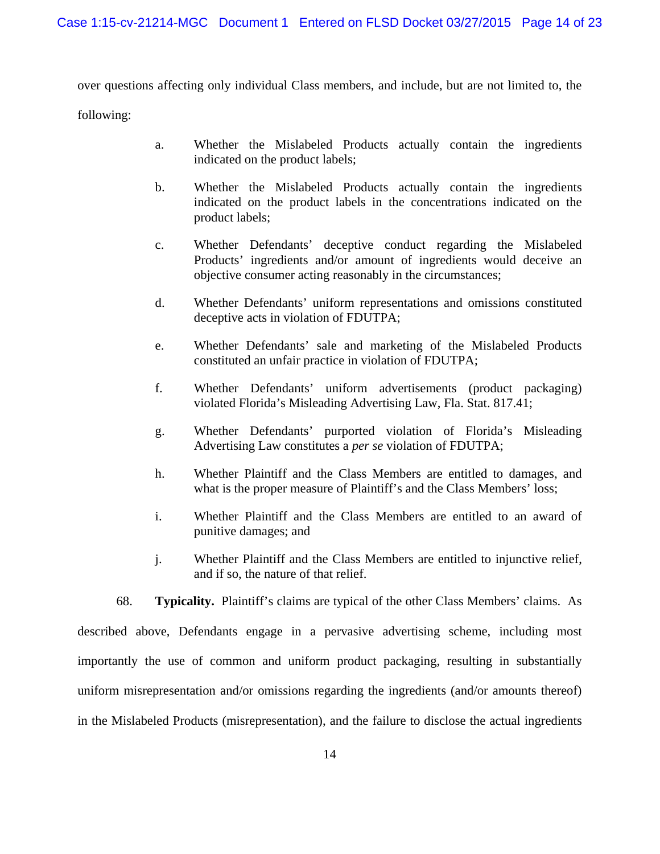over questions affecting only individual Class members, and include, but are not limited to, the

following:

- a. Whether the Mislabeled Products actually contain the ingredients indicated on the product labels;
- b. Whether the Mislabeled Products actually contain the ingredients indicated on the product labels in the concentrations indicated on the product labels;
- c. Whether Defendants' deceptive conduct regarding the Mislabeled Products' ingredients and/or amount of ingredients would deceive an objective consumer acting reasonably in the circumstances;
- d. Whether Defendants' uniform representations and omissions constituted deceptive acts in violation of FDUTPA;
- e. Whether Defendants' sale and marketing of the Mislabeled Products constituted an unfair practice in violation of FDUTPA;
- f. Whether Defendants' uniform advertisements (product packaging) violated Florida's Misleading Advertising Law, Fla. Stat. 817.41;
- g. Whether Defendants' purported violation of Florida's Misleading Advertising Law constitutes a *per se* violation of FDUTPA;
- h. Whether Plaintiff and the Class Members are entitled to damages, and what is the proper measure of Plaintiff's and the Class Members' loss;
- i. Whether Plaintiff and the Class Members are entitled to an award of punitive damages; and
- j. Whether Plaintiff and the Class Members are entitled to injunctive relief, and if so, the nature of that relief.

68. **Typicality.** Plaintiff's claims are typical of the other Class Members' claims. As described above, Defendants engage in a pervasive advertising scheme, including most importantly the use of common and uniform product packaging, resulting in substantially uniform misrepresentation and/or omissions regarding the ingredients (and/or amounts thereof) in the Mislabeled Products (misrepresentation), and the failure to disclose the actual ingredients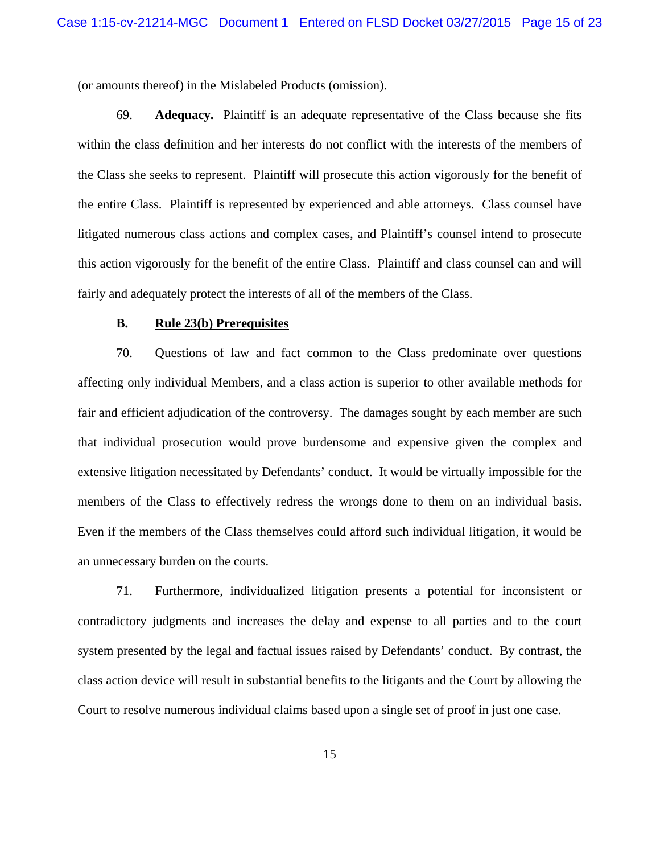(or amounts thereof) in the Mislabeled Products (omission).

69. **Adequacy.** Plaintiff is an adequate representative of the Class because she fits within the class definition and her interests do not conflict with the interests of the members of the Class she seeks to represent. Plaintiff will prosecute this action vigorously for the benefit of the entire Class. Plaintiff is represented by experienced and able attorneys. Class counsel have litigated numerous class actions and complex cases, and Plaintiff's counsel intend to prosecute this action vigorously for the benefit of the entire Class. Plaintiff and class counsel can and will fairly and adequately protect the interests of all of the members of the Class.

#### **B. Rule 23(b) Prerequisites**

70. Questions of law and fact common to the Class predominate over questions affecting only individual Members, and a class action is superior to other available methods for fair and efficient adjudication of the controversy. The damages sought by each member are such that individual prosecution would prove burdensome and expensive given the complex and extensive litigation necessitated by Defendants' conduct. It would be virtually impossible for the members of the Class to effectively redress the wrongs done to them on an individual basis. Even if the members of the Class themselves could afford such individual litigation, it would be an unnecessary burden on the courts.

71. Furthermore, individualized litigation presents a potential for inconsistent or contradictory judgments and increases the delay and expense to all parties and to the court system presented by the legal and factual issues raised by Defendants' conduct. By contrast, the class action device will result in substantial benefits to the litigants and the Court by allowing the Court to resolve numerous individual claims based upon a single set of proof in just one case.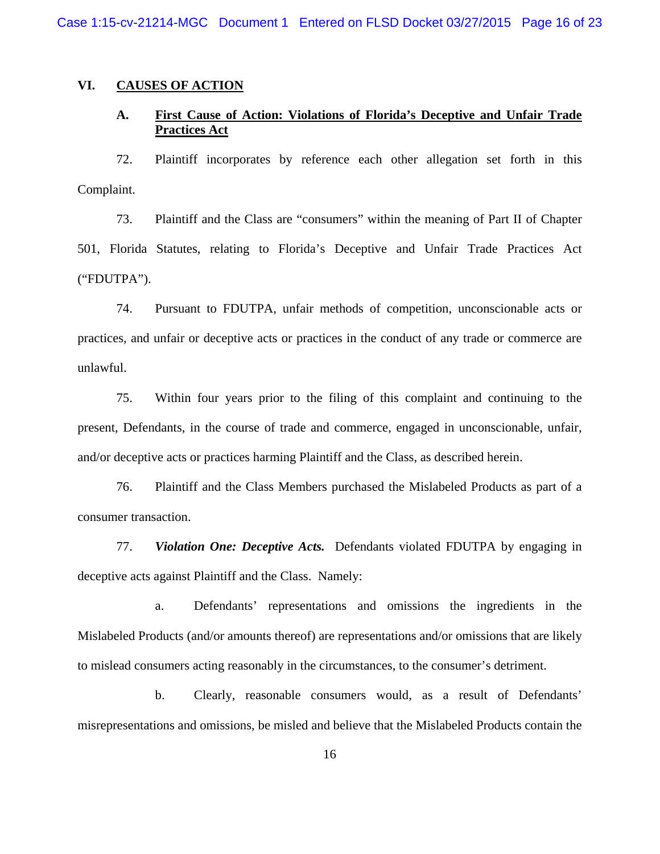Case 1:15-cv-21214-MGC Document 1 Entered on FLSD Docket 03/27/2015 Page 16 of 23

#### **VI. CAUSES OF ACTION**

### **A. First Cause of Action: Violations of Florida's Deceptive and Unfair Trade Practices Act**

72. Plaintiff incorporates by reference each other allegation set forth in this Complaint.

73. Plaintiff and the Class are "consumers" within the meaning of Part II of Chapter 501, Florida Statutes, relating to Florida's Deceptive and Unfair Trade Practices Act ("FDUTPA").

74. Pursuant to FDUTPA, unfair methods of competition, unconscionable acts or practices, and unfair or deceptive acts or practices in the conduct of any trade or commerce are unlawful.

75. Within four years prior to the filing of this complaint and continuing to the present, Defendants, in the course of trade and commerce, engaged in unconscionable, unfair, and/or deceptive acts or practices harming Plaintiff and the Class, as described herein.

76. Plaintiff and the Class Members purchased the Mislabeled Products as part of a consumer transaction.

77. *Violation One: Deceptive Acts.* Defendants violated FDUTPA by engaging in deceptive acts against Plaintiff and the Class. Namely:

a. Defendants' representations and omissions the ingredients in the Mislabeled Products (and/or amounts thereof) are representations and/or omissions that are likely to mislead consumers acting reasonably in the circumstances, to the consumer's detriment.

b. Clearly, reasonable consumers would, as a result of Defendants' misrepresentations and omissions, be misled and believe that the Mislabeled Products contain the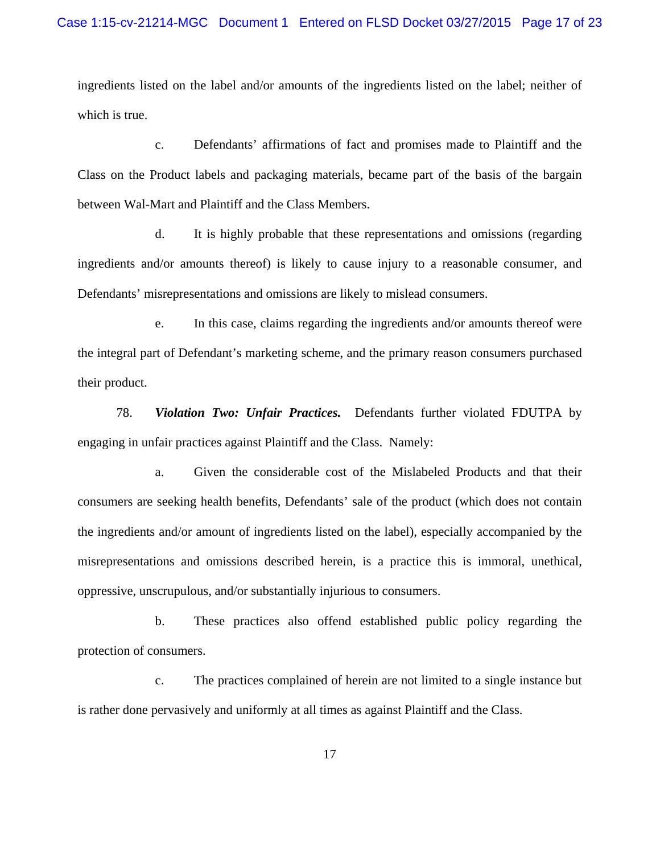ingredients listed on the label and/or amounts of the ingredients listed on the label; neither of which is true.

c. Defendants' affirmations of fact and promises made to Plaintiff and the Class on the Product labels and packaging materials, became part of the basis of the bargain between Wal-Mart and Plaintiff and the Class Members.

d. It is highly probable that these representations and omissions (regarding ingredients and/or amounts thereof) is likely to cause injury to a reasonable consumer, and Defendants' misrepresentations and omissions are likely to mislead consumers.

e. In this case, claims regarding the ingredients and/or amounts thereof were the integral part of Defendant's marketing scheme, and the primary reason consumers purchased their product.

78. *Violation Two: Unfair Practices.* Defendants further violated FDUTPA by engaging in unfair practices against Plaintiff and the Class. Namely:

a. Given the considerable cost of the Mislabeled Products and that their consumers are seeking health benefits, Defendants' sale of the product (which does not contain the ingredients and/or amount of ingredients listed on the label), especially accompanied by the misrepresentations and omissions described herein, is a practice this is immoral, unethical, oppressive, unscrupulous, and/or substantially injurious to consumers.

b. These practices also offend established public policy regarding the protection of consumers.

c. The practices complained of herein are not limited to a single instance but is rather done pervasively and uniformly at all times as against Plaintiff and the Class.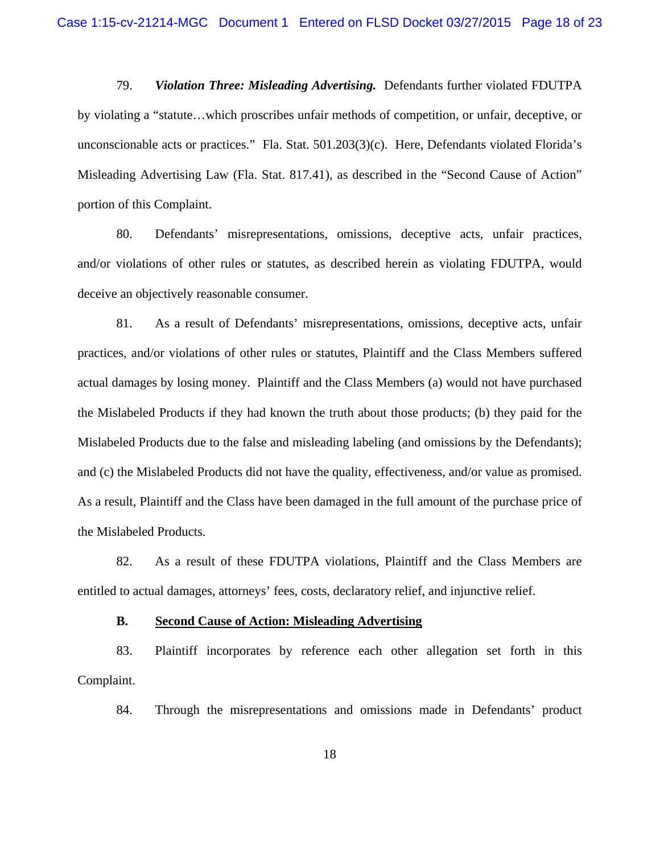79. *Violation Three: Misleading Advertising.* Defendants further violated FDUTPA by violating a "statute…which proscribes unfair methods of competition, or unfair, deceptive, or unconscionable acts or practices." Fla. Stat. 501.203(3)(c). Here, Defendants violated Florida's Misleading Advertising Law (Fla. Stat. 817.41), as described in the "Second Cause of Action" portion of this Complaint.

80. Defendants' misrepresentations, omissions, deceptive acts, unfair practices, and/or violations of other rules or statutes, as described herein as violating FDUTPA, would deceive an objectively reasonable consumer.

81. As a result of Defendants' misrepresentations, omissions, deceptive acts, unfair practices, and/or violations of other rules or statutes, Plaintiff and the Class Members suffered actual damages by losing money. Plaintiff and the Class Members (a) would not have purchased the Mislabeled Products if they had known the truth about those products; (b) they paid for the Mislabeled Products due to the false and misleading labeling (and omissions by the Defendants); and (c) the Mislabeled Products did not have the quality, effectiveness, and/or value as promised. As a result, Plaintiff and the Class have been damaged in the full amount of the purchase price of the Mislabeled Products.

82. As a result of these FDUTPA violations, Plaintiff and the Class Members are entitled to actual damages, attorneys' fees, costs, declaratory relief, and injunctive relief.

#### **B. Second Cause of Action: Misleading Advertising**

83. Plaintiff incorporates by reference each other allegation set forth in this Complaint.

84. Through the misrepresentations and omissions made in Defendants' product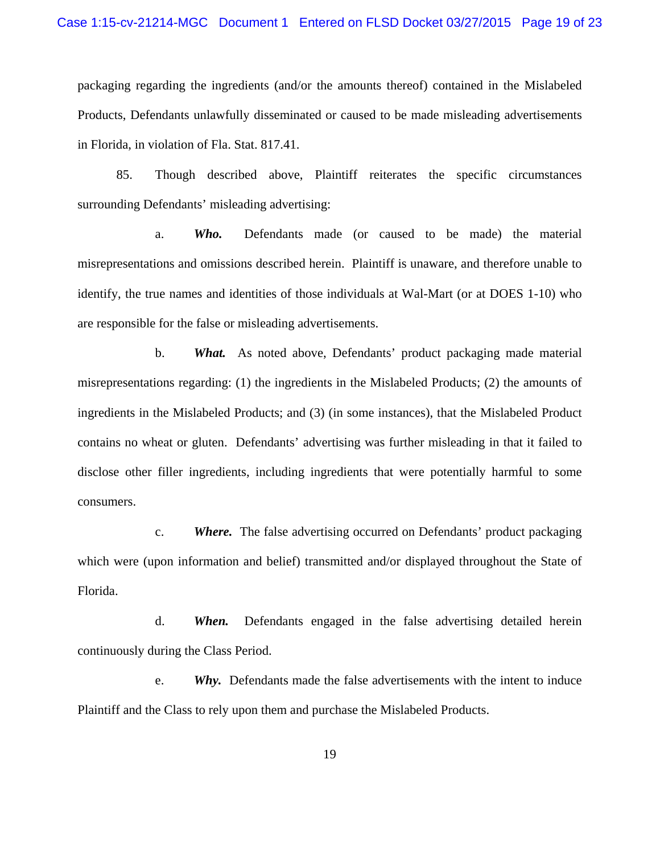packaging regarding the ingredients (and/or the amounts thereof) contained in the Mislabeled Products, Defendants unlawfully disseminated or caused to be made misleading advertisements in Florida, in violation of Fla. Stat. 817.41.

85. Though described above, Plaintiff reiterates the specific circumstances surrounding Defendants' misleading advertising:

a. *Who.* Defendants made (or caused to be made) the material misrepresentations and omissions described herein. Plaintiff is unaware, and therefore unable to identify, the true names and identities of those individuals at Wal-Mart (or at DOES 1-10) who are responsible for the false or misleading advertisements.

b. *What.* As noted above, Defendants' product packaging made material misrepresentations regarding: (1) the ingredients in the Mislabeled Products; (2) the amounts of ingredients in the Mislabeled Products; and (3) (in some instances), that the Mislabeled Product contains no wheat or gluten. Defendants' advertising was further misleading in that it failed to disclose other filler ingredients, including ingredients that were potentially harmful to some consumers.

c. *Where.* The false advertising occurred on Defendants' product packaging which were (upon information and belief) transmitted and/or displayed throughout the State of Florida.

d. *When.* Defendants engaged in the false advertising detailed herein continuously during the Class Period.

e. *Why.* Defendants made the false advertisements with the intent to induce Plaintiff and the Class to rely upon them and purchase the Mislabeled Products.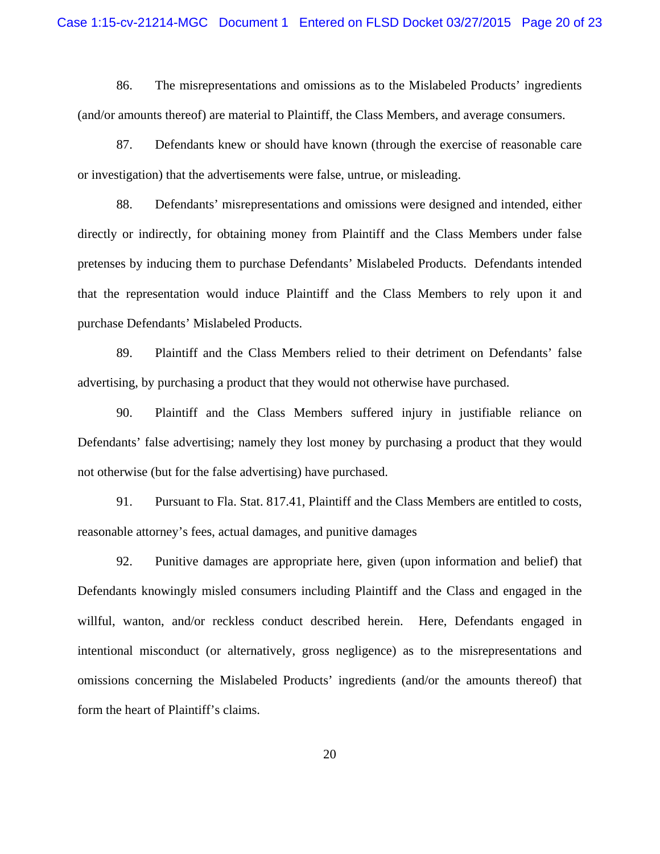86. The misrepresentations and omissions as to the Mislabeled Products' ingredients (and/or amounts thereof) are material to Plaintiff, the Class Members, and average consumers.

87. Defendants knew or should have known (through the exercise of reasonable care or investigation) that the advertisements were false, untrue, or misleading.

88. Defendants' misrepresentations and omissions were designed and intended, either directly or indirectly, for obtaining money from Plaintiff and the Class Members under false pretenses by inducing them to purchase Defendants' Mislabeled Products. Defendants intended that the representation would induce Plaintiff and the Class Members to rely upon it and purchase Defendants' Mislabeled Products.

89. Plaintiff and the Class Members relied to their detriment on Defendants' false advertising, by purchasing a product that they would not otherwise have purchased.

90. Plaintiff and the Class Members suffered injury in justifiable reliance on Defendants' false advertising; namely they lost money by purchasing a product that they would not otherwise (but for the false advertising) have purchased.

91. Pursuant to Fla. Stat. 817.41, Plaintiff and the Class Members are entitled to costs, reasonable attorney's fees, actual damages, and punitive damages

92. Punitive damages are appropriate here, given (upon information and belief) that Defendants knowingly misled consumers including Plaintiff and the Class and engaged in the willful, wanton, and/or reckless conduct described herein. Here, Defendants engaged in intentional misconduct (or alternatively, gross negligence) as to the misrepresentations and omissions concerning the Mislabeled Products' ingredients (and/or the amounts thereof) that form the heart of Plaintiff's claims.

20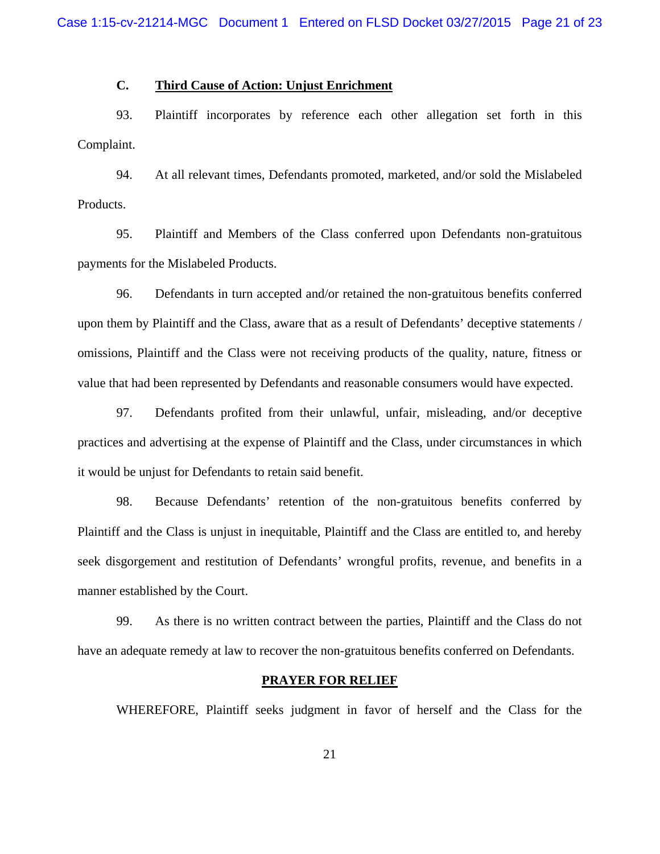#### **C. Third Cause of Action: Unjust Enrichment**

93. Plaintiff incorporates by reference each other allegation set forth in this Complaint.

94. At all relevant times, Defendants promoted, marketed, and/or sold the Mislabeled Products.

95. Plaintiff and Members of the Class conferred upon Defendants non-gratuitous payments for the Mislabeled Products.

96. Defendants in turn accepted and/or retained the non-gratuitous benefits conferred upon them by Plaintiff and the Class, aware that as a result of Defendants' deceptive statements / omissions, Plaintiff and the Class were not receiving products of the quality, nature, fitness or value that had been represented by Defendants and reasonable consumers would have expected.

97. Defendants profited from their unlawful, unfair, misleading, and/or deceptive practices and advertising at the expense of Plaintiff and the Class, under circumstances in which it would be unjust for Defendants to retain said benefit.

98. Because Defendants' retention of the non-gratuitous benefits conferred by Plaintiff and the Class is unjust in inequitable, Plaintiff and the Class are entitled to, and hereby seek disgorgement and restitution of Defendants' wrongful profits, revenue, and benefits in a manner established by the Court.

99. As there is no written contract between the parties, Plaintiff and the Class do not have an adequate remedy at law to recover the non-gratuitous benefits conferred on Defendants.

#### **PRAYER FOR RELIEF**

WHEREFORE, Plaintiff seeks judgment in favor of herself and the Class for the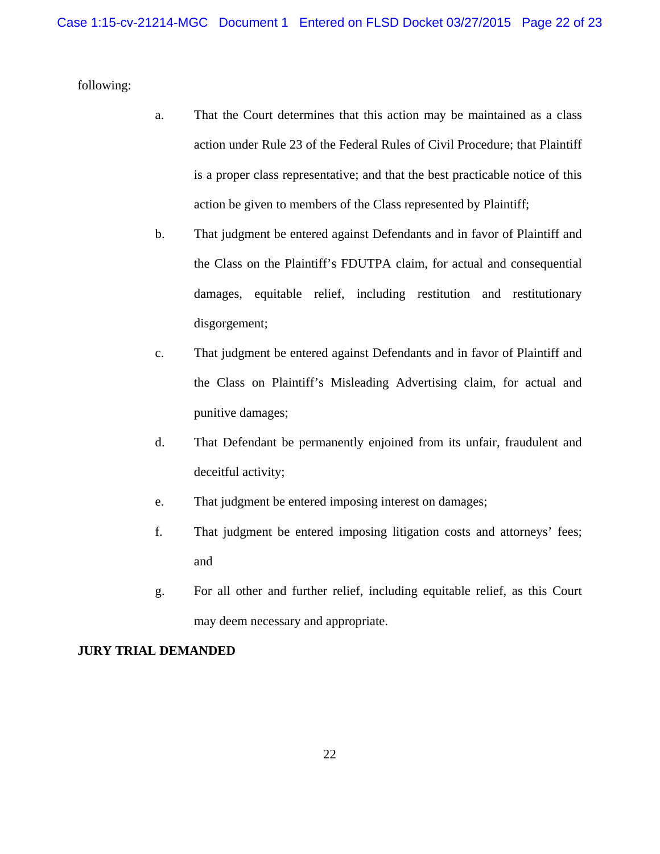following:

- a. That the Court determines that this action may be maintained as a class action under Rule 23 of the Federal Rules of Civil Procedure; that Plaintiff is a proper class representative; and that the best practicable notice of this action be given to members of the Class represented by Plaintiff;
- b. That judgment be entered against Defendants and in favor of Plaintiff and the Class on the Plaintiff's FDUTPA claim, for actual and consequential damages, equitable relief, including restitution and restitutionary disgorgement;
- c. That judgment be entered against Defendants and in favor of Plaintiff and the Class on Plaintiff's Misleading Advertising claim, for actual and punitive damages;
- d. That Defendant be permanently enjoined from its unfair, fraudulent and deceitful activity;
- e. That judgment be entered imposing interest on damages;
- f. That judgment be entered imposing litigation costs and attorneys' fees; and
- g. For all other and further relief, including equitable relief, as this Court may deem necessary and appropriate.

#### **JURY TRIAL DEMANDED**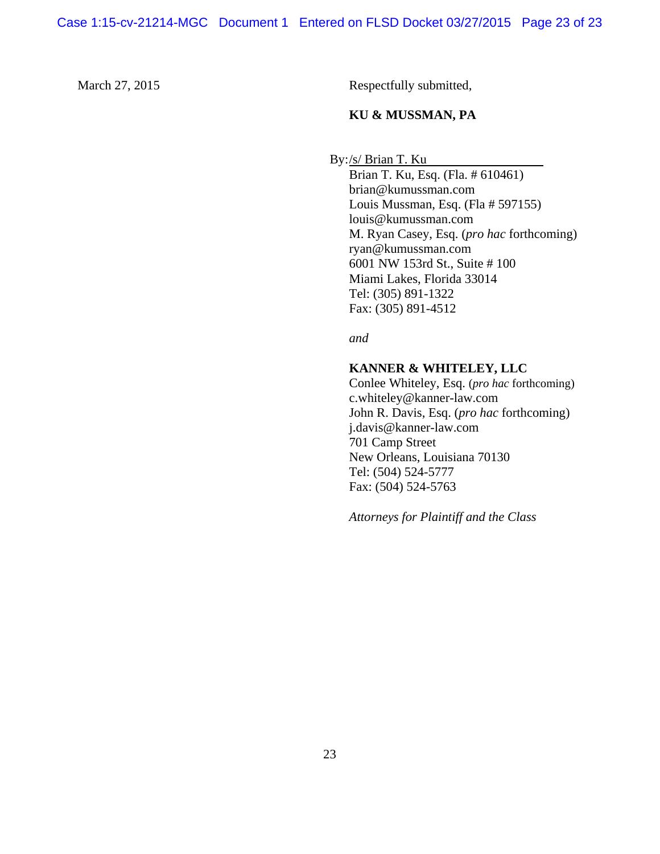March 27, 2015 Respectfully submitted,

#### **KU & MUSSMAN, PA**

By:/s/ Brian T. Ku

 Brian T. Ku, Esq. (Fla. # 610461) brian@kumussman.com Louis Mussman, Esq. (Fla # 597155) louis@kumussman.com M. Ryan Casey, Esq. (*pro hac* forthcoming) ryan@kumussman.com 6001 NW 153rd St., Suite # 100 Miami Lakes, Florida 33014 Tel: (305) 891-1322 Fax: (305) 891-4512

*and*

#### **KANNER & WHITELEY, LLC**

Conlee Whiteley, Esq. (*pro hac* forthcoming) c.whiteley@kanner-law.com John R. Davis, Esq. (*pro hac* forthcoming) j.davis@kanner-law.com 701 Camp Street New Orleans, Louisiana 70130 Tel: (504) 524-5777 Fax: (504) 524-5763

*Attorneys for Plaintiff and the Class*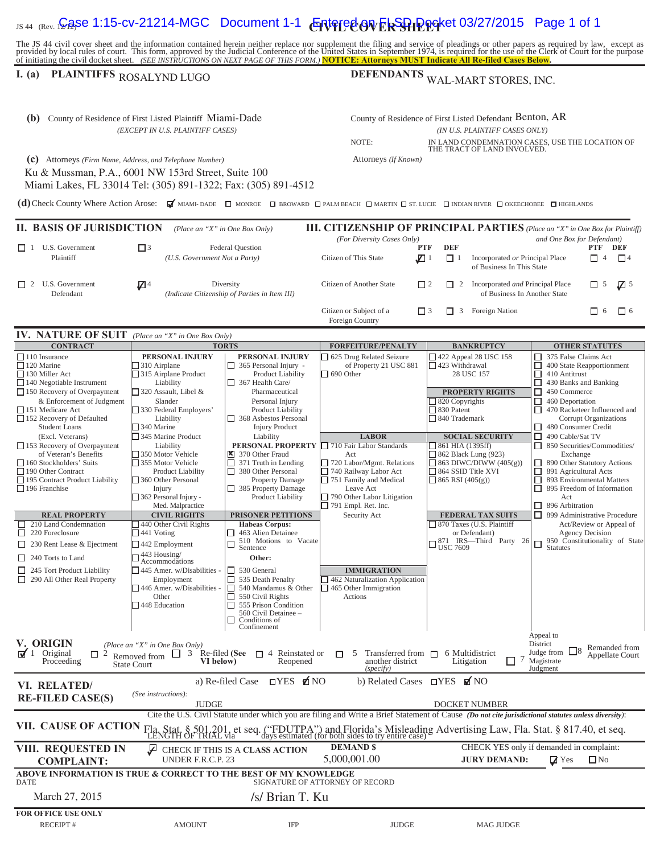### IS 44 (Rev. 1**2, ASC 1:15-CV-21214-MGC** Document 1-1  $\epsilon$  **CNeted ov ExSPIP po**ket 03/27/2015 Page 1 of 1

The JS 44 civil cover sheet and the information contained herein neither replace nor supplement the filing and service of pleadings or other papers as required by law, except as provided by local rules of court. This form,

### **I.** (a) PLAINTIFFS ROSALYND LUGO

# DEFENDANTS WAL-MART STORES, INC.

| (b) County of Residence of First Listed Plaintiff Miami-Dade<br>(EXCEPT IN U.S. PLAINTIFF CASES)                                                                                                                                                                                                                                                                                                                                                                                                                                                                                                                                                                                 |                                                                                                                                                                                                                                                                                                                                                                                                                                                                                                                                                                                                                         |                                                                                                                                                                                                                                                                                                                                                                                                                                                                                                                                                                                                                       | County of Residence of First Listed Defendant Benton, AR<br>(IN U.S. PLAINTIFF CASES ONLY)<br>NOTE:<br>IN LAND CONDEMNATION CASES. USE THE LOCATION OF                                                                                                                                                                                                                                                                |                                                                                                                                                                                                                                                                                                                                                                                                                                                               |                                                                                                                                                                                                                                                                                                                                                                                                                                                                                                                                                                                                                                                                 |  |  |
|----------------------------------------------------------------------------------------------------------------------------------------------------------------------------------------------------------------------------------------------------------------------------------------------------------------------------------------------------------------------------------------------------------------------------------------------------------------------------------------------------------------------------------------------------------------------------------------------------------------------------------------------------------------------------------|-------------------------------------------------------------------------------------------------------------------------------------------------------------------------------------------------------------------------------------------------------------------------------------------------------------------------------------------------------------------------------------------------------------------------------------------------------------------------------------------------------------------------------------------------------------------------------------------------------------------------|-----------------------------------------------------------------------------------------------------------------------------------------------------------------------------------------------------------------------------------------------------------------------------------------------------------------------------------------------------------------------------------------------------------------------------------------------------------------------------------------------------------------------------------------------------------------------------------------------------------------------|-----------------------------------------------------------------------------------------------------------------------------------------------------------------------------------------------------------------------------------------------------------------------------------------------------------------------------------------------------------------------------------------------------------------------|---------------------------------------------------------------------------------------------------------------------------------------------------------------------------------------------------------------------------------------------------------------------------------------------------------------------------------------------------------------------------------------------------------------------------------------------------------------|-----------------------------------------------------------------------------------------------------------------------------------------------------------------------------------------------------------------------------------------------------------------------------------------------------------------------------------------------------------------------------------------------------------------------------------------------------------------------------------------------------------------------------------------------------------------------------------------------------------------------------------------------------------------|--|--|
| (c) Attorneys (Firm Name, Address, and Telephone Number)<br>Ku & Mussman, P.A., 6001 NW 153rd Street, Suite 100<br>Miami Lakes, FL 33014 Tel: (305) 891-1322; Fax: (305) 891-4512                                                                                                                                                                                                                                                                                                                                                                                                                                                                                                |                                                                                                                                                                                                                                                                                                                                                                                                                                                                                                                                                                                                                         |                                                                                                                                                                                                                                                                                                                                                                                                                                                                                                                                                                                                                       | Attorneys (If Known)                                                                                                                                                                                                                                                                                                                                                                                                  | THE TRACT OF LAND INVOLVED.                                                                                                                                                                                                                                                                                                                                                                                                                                   |                                                                                                                                                                                                                                                                                                                                                                                                                                                                                                                                                                                                                                                                 |  |  |
| (d) Check County Where Action Arose: MEMIAMI-DADE NONROE D BROWARD PALM BEACH NARTIN D ST. LUCIE NDIAN RIVER NOKEECHOBEE NIGHLANDS                                                                                                                                                                                                                                                                                                                                                                                                                                                                                                                                               |                                                                                                                                                                                                                                                                                                                                                                                                                                                                                                                                                                                                                         |                                                                                                                                                                                                                                                                                                                                                                                                                                                                                                                                                                                                                       |                                                                                                                                                                                                                                                                                                                                                                                                                       |                                                                                                                                                                                                                                                                                                                                                                                                                                                               |                                                                                                                                                                                                                                                                                                                                                                                                                                                                                                                                                                                                                                                                 |  |  |
| <b>II. BASIS OF JURISDICTION</b>                                                                                                                                                                                                                                                                                                                                                                                                                                                                                                                                                                                                                                                 | (Place an "X" in One Box Only)                                                                                                                                                                                                                                                                                                                                                                                                                                                                                                                                                                                          |                                                                                                                                                                                                                                                                                                                                                                                                                                                                                                                                                                                                                       | (For Diversity Cases Only)                                                                                                                                                                                                                                                                                                                                                                                            |                                                                                                                                                                                                                                                                                                                                                                                                                                                               | <b>III. CITIZENSHIP OF PRINCIPAL PARTIES</b> (Place an "X" in One Box for Plaintiff)<br>and One Box for Defendant)                                                                                                                                                                                                                                                                                                                                                                                                                                                                                                                                              |  |  |
| $\Box$ 1 U.S. Government<br>Plaintiff                                                                                                                                                                                                                                                                                                                                                                                                                                                                                                                                                                                                                                            | $\Box$ 3<br><b>Federal Question</b><br>(U.S. Government Not a Party)                                                                                                                                                                                                                                                                                                                                                                                                                                                                                                                                                    |                                                                                                                                                                                                                                                                                                                                                                                                                                                                                                                                                                                                                       | <b>PTF</b><br>Citizen of This State<br>$\Box$ 1                                                                                                                                                                                                                                                                                                                                                                       | <b>DEF</b><br>Incorporated or Principal Place<br>$\Box$ 1<br>of Business In This State                                                                                                                                                                                                                                                                                                                                                                        | PTF DEF<br>$\Box$ 4<br>$\Box$ 4                                                                                                                                                                                                                                                                                                                                                                                                                                                                                                                                                                                                                                 |  |  |
| $\Box$ 2 U.S. Government<br>Defendant                                                                                                                                                                                                                                                                                                                                                                                                                                                                                                                                                                                                                                            | $\mathbb{Z}$ <sup>4</sup>                                                                                                                                                                                                                                                                                                                                                                                                                                                                                                                                                                                               | Diversity<br>(Indicate Citizenship of Parties in Item III)                                                                                                                                                                                                                                                                                                                                                                                                                                                                                                                                                            | Citizen of Another State<br>$\Box$ 2                                                                                                                                                                                                                                                                                                                                                                                  | Incorporated and Principal Place<br>$\Box$ 2<br>of Business In Another State                                                                                                                                                                                                                                                                                                                                                                                  | $\Box$ 5<br>$\sqrt{2}$ 5                                                                                                                                                                                                                                                                                                                                                                                                                                                                                                                                                                                                                                        |  |  |
|                                                                                                                                                                                                                                                                                                                                                                                                                                                                                                                                                                                                                                                                                  |                                                                                                                                                                                                                                                                                                                                                                                                                                                                                                                                                                                                                         |                                                                                                                                                                                                                                                                                                                                                                                                                                                                                                                                                                                                                       | Citizen or Subject of a<br>$\Box$ 3<br>Foreign Country                                                                                                                                                                                                                                                                                                                                                                | Foreign Nation<br>П<br>3                                                                                                                                                                                                                                                                                                                                                                                                                                      | $\Box$ 6<br>П<br>- 6                                                                                                                                                                                                                                                                                                                                                                                                                                                                                                                                                                                                                                            |  |  |
| <b>IV. NATURE OF SUIT</b>                                                                                                                                                                                                                                                                                                                                                                                                                                                                                                                                                                                                                                                        | (Place an "X" in One Box Only)                                                                                                                                                                                                                                                                                                                                                                                                                                                                                                                                                                                          |                                                                                                                                                                                                                                                                                                                                                                                                                                                                                                                                                                                                                       |                                                                                                                                                                                                                                                                                                                                                                                                                       |                                                                                                                                                                                                                                                                                                                                                                                                                                                               |                                                                                                                                                                                                                                                                                                                                                                                                                                                                                                                                                                                                                                                                 |  |  |
| <b>CONTRACT</b>                                                                                                                                                                                                                                                                                                                                                                                                                                                                                                                                                                                                                                                                  |                                                                                                                                                                                                                                                                                                                                                                                                                                                                                                                                                                                                                         | <b>TORTS</b>                                                                                                                                                                                                                                                                                                                                                                                                                                                                                                                                                                                                          | <b>FORFEITURE/PENALTY</b>                                                                                                                                                                                                                                                                                                                                                                                             | <b>BANKRUPTCY</b>                                                                                                                                                                                                                                                                                                                                                                                                                                             | <b>OTHER STATUTES</b>                                                                                                                                                                                                                                                                                                                                                                                                                                                                                                                                                                                                                                           |  |  |
| $\Box$ 110 Insurance<br>$\Box$ 120 Marine<br>130 Miller Act<br>$\Box$ 140 Negotiable Instrument<br>$\Box$ 150 Recovery of Overpayment<br>& Enforcement of Judgment<br>151 Medicare Act<br>$\Box$ 152 Recovery of Defaulted<br><b>Student Loans</b><br>(Excl. Veterans)<br>$\Box$ 153 Recovery of Overpayment<br>of Veteran's Benefits<br>□ 160 Stockholders' Suits<br>□ 190 Other Contract<br>□ 195 Contract Product Liability<br>$\Box$ 196 Franchise<br><b>REAL PROPERTY</b><br>210 Land Condemnation<br>ш<br>220 Foreclosure<br>□<br>$\Box$ 230 Rent Lease & Ejectment<br>$\Box$ 240 Torts to Land<br>$\Box$ 245 Tort Product Liability<br>$\Box$ 290 All Other Real Property | PERSONAL INJURY<br>$\Box$ 310 Airplane<br>$\Box$ 315 Airplane Product<br>Liability<br>$\Box$ 320 Assault, Libel &<br>Slander<br>330 Federal Employers'<br>Liability<br>□ 340 Marine<br>345 Marine Product<br>Liability<br>□ 350 Motor Vehicle<br>□ 355 Motor Vehicle<br>Product Liability<br>360 Other Personal<br>Injury<br>$\Box$ 362 Personal Injury -<br>Med. Malpractice<br><b>CIVIL RIGHTS</b><br>$\Box$ 440 Other Civil Rights<br>$\Box$ 441 Voting<br>$\Box$ 442 Employment<br>$\square$ 443 Housing/<br>Accommodations<br>$\Box$ 445 Amer. w/Disabilities<br>Employment<br>446 Amer. w/Disabilities -<br>Other | PERSONAL INJURY<br>$\Box$ 365 Personal Injury -<br>Product Liability<br>367 Health Care/<br>Pharmaceutical<br>Personal Injury<br>Product Liability<br>368 Asbestos Personal<br><b>Injury Product</b><br>Liability<br>PERSONAL PROPERTY<br>370 Other Fraud<br>□<br>371 Truth in Lending<br>380 Other Personal<br>Property Damage<br>385 Property Damage<br>Product Liability<br>PRISONER PETITIONS<br><b>Habeas Corpus:</b><br>$\Box$ 463 Alien Detainee<br>510 Motions to Vacate<br>Sentence<br>$\Box$<br>Other:<br>$\Box$ 530 General<br>$\Box$ 535 Death Penalty<br>$\Box$ 540 Mandamus & Other<br>550 Civil Rights | □ 625 Drug Related Seizure<br>of Property 21 USC 881<br>$\Box$ 690 Other<br><b>LABOR</b><br>710 Fair Labor Standards<br>Act<br>720 Labor/Mgmt. Relations<br>740 Railway Labor Act<br>$\Box$ 751 Family and Medical<br>Leave Act<br>$\Box$ 790 Other Labor Litigation<br>$\Box$ 791 Empl. Ret. Inc.<br>Security Act<br><b>IMMIGRATION</b><br>462 Naturalization Application<br>$\Box$ 465 Other Immigration<br>Actions | $\Box$ 422 Appeal 28 USC 158<br>$\Box$ 423 Withdrawal<br>28 USC 157<br><b>PROPERTY RIGHTS</b><br>$\Box$ 820 Copyrights<br>830 Patent<br>□ 840 Trademark<br><b>SOCIAL SECURITY</b><br>$\Box$ 861 HIA (1395ff)<br>$\Box$ 862 Black Lung (923)<br>$\Box$ 863 DIWC/DIWW (405(g))<br>$\Box$ 864 SSID Title XVI<br>$\Box$ 865 RSI (405(g))<br><b>FEDERAL TAX SUITS</b><br>□ 870 Taxes (U.S. Plaintiff<br>or Defendant)<br>$\Box$ 871 IRS—Third Party 26<br>USC 7609 | 375 False Claims Act<br>$\Box$ 400 State Reapportionment<br>$\Box$ 410 Antitrust<br>$\Box$ 430 Banks and Banking<br>$\Box$ 450 Commerce<br>$\Box$ 460 Deportation<br>$\Box$ 470 Racketeer Influenced and<br><b>Corrupt Organizations</b><br>480 Consumer Credit<br>$\Box$ 490 Cable/Sat TV<br>$\Box$ 850 Securities/Commodities/<br>Exchange<br>□ 890 Other Statutory Actions<br>□<br>891 Agricultural Acts<br>□ 893 Environmental Matters<br>$\Box$ 895 Freedom of Information<br>Act<br>$\Box$ 896 Arbitration<br>□ 899 Administrative Procedure<br>Act/Review or Appeal of<br><b>Agency Decision</b><br>950 Constitutionality of State<br>Statutes<br>$\Box$ |  |  |
| $\Box$ 555 Prison Condition<br>□ 448 Education<br>560 Civil Detainee -<br>Conditions of<br>⊔<br>Confinement<br>Appeal to<br>V. ORIGIN<br>District<br>(Place an "X" in One Box Only)<br>Remanded from<br>Judge from<br>$\sqrt{1}$<br>Original<br>Re-filed (See $\Box$ 4 Reinstated or<br>Transferred from $\Box$<br>6 Multidistrict<br>$\Box$ 2<br>3<br>П<br>5<br>Removed from $\Box$<br>Appellate Court<br>another district<br>Magistrate<br>Proceeding<br>VI below)<br>Reopened<br>Litigation<br><b>State Court</b><br>(specify)<br>Judgment<br>$TYES$ $\triangle$ NO<br>a) Re-filed Case<br>b) Related Cases $\Box$ YES $\Box$ NO                                              |                                                                                                                                                                                                                                                                                                                                                                                                                                                                                                                                                                                                                         |                                                                                                                                                                                                                                                                                                                                                                                                                                                                                                                                                                                                                       |                                                                                                                                                                                                                                                                                                                                                                                                                       |                                                                                                                                                                                                                                                                                                                                                                                                                                                               |                                                                                                                                                                                                                                                                                                                                                                                                                                                                                                                                                                                                                                                                 |  |  |
| VI. RELATED/<br><b>RE-FILED CASE(S)</b>                                                                                                                                                                                                                                                                                                                                                                                                                                                                                                                                                                                                                                          | (See instructions):                                                                                                                                                                                                                                                                                                                                                                                                                                                                                                                                                                                                     |                                                                                                                                                                                                                                                                                                                                                                                                                                                                                                                                                                                                                       |                                                                                                                                                                                                                                                                                                                                                                                                                       |                                                                                                                                                                                                                                                                                                                                                                                                                                                               |                                                                                                                                                                                                                                                                                                                                                                                                                                                                                                                                                                                                                                                                 |  |  |
|                                                                                                                                                                                                                                                                                                                                                                                                                                                                                                                                                                                                                                                                                  | <b>JUDGE</b>                                                                                                                                                                                                                                                                                                                                                                                                                                                                                                                                                                                                            |                                                                                                                                                                                                                                                                                                                                                                                                                                                                                                                                                                                                                       |                                                                                                                                                                                                                                                                                                                                                                                                                       | DOCKET NUMBER                                                                                                                                                                                                                                                                                                                                                                                                                                                 |                                                                                                                                                                                                                                                                                                                                                                                                                                                                                                                                                                                                                                                                 |  |  |
| <b>VII. CAUSE OF ACTION</b>                                                                                                                                                                                                                                                                                                                                                                                                                                                                                                                                                                                                                                                      |                                                                                                                                                                                                                                                                                                                                                                                                                                                                                                                                                                                                                         |                                                                                                                                                                                                                                                                                                                                                                                                                                                                                                                                                                                                                       | Cite the U.S. Civil Statute under which you are filing and Write a Brief Statement of Cause (Do not cite jurisdictional statutes unless diversity):<br>Fla. Stat. § 501.201, et seq. ("FDUTPA") and Florida's Misleading Advertising Law, Fla. Stat. § 817.40, et seq.<br>LENGTH OF TRIAL via days estimated (for both sides to try entire case)                                                                      |                                                                                                                                                                                                                                                                                                                                                                                                                                                               |                                                                                                                                                                                                                                                                                                                                                                                                                                                                                                                                                                                                                                                                 |  |  |
|                                                                                                                                                                                                                                                                                                                                                                                                                                                                                                                                                                                                                                                                                  |                                                                                                                                                                                                                                                                                                                                                                                                                                                                                                                                                                                                                         |                                                                                                                                                                                                                                                                                                                                                                                                                                                                                                                                                                                                                       |                                                                                                                                                                                                                                                                                                                                                                                                                       |                                                                                                                                                                                                                                                                                                                                                                                                                                                               |                                                                                                                                                                                                                                                                                                                                                                                                                                                                                                                                                                                                                                                                 |  |  |
| VIII. REQUESTED IN<br><b>COMPLAINT:</b>                                                                                                                                                                                                                                                                                                                                                                                                                                                                                                                                                                                                                                          | Y<br>UNDER F.R.C.P. 23                                                                                                                                                                                                                                                                                                                                                                                                                                                                                                                                                                                                  | CHECK IF THIS IS A CLASS ACTION                                                                                                                                                                                                                                                                                                                                                                                                                                                                                                                                                                                       | <b>DEMAND \$</b><br>5,000,001.00                                                                                                                                                                                                                                                                                                                                                                                      | <b>JURY DEMAND:</b>                                                                                                                                                                                                                                                                                                                                                                                                                                           | CHECK YES only if demanded in complaint:<br>$\square$ No<br>$\triangledown$ Yes                                                                                                                                                                                                                                                                                                                                                                                                                                                                                                                                                                                 |  |  |
| ABOVE INFORMATION IS TRUE & CORRECT TO THE BEST OF MY KNOWLEDGE<br><b>DATE</b>                                                                                                                                                                                                                                                                                                                                                                                                                                                                                                                                                                                                   |                                                                                                                                                                                                                                                                                                                                                                                                                                                                                                                                                                                                                         |                                                                                                                                                                                                                                                                                                                                                                                                                                                                                                                                                                                                                       | SIGNATURE OF ATTORNEY OF RECORD                                                                                                                                                                                                                                                                                                                                                                                       |                                                                                                                                                                                                                                                                                                                                                                                                                                                               |                                                                                                                                                                                                                                                                                                                                                                                                                                                                                                                                                                                                                                                                 |  |  |
| March 27, 2015                                                                                                                                                                                                                                                                                                                                                                                                                                                                                                                                                                                                                                                                   |                                                                                                                                                                                                                                                                                                                                                                                                                                                                                                                                                                                                                         | /s/ Brian T. Ku                                                                                                                                                                                                                                                                                                                                                                                                                                                                                                                                                                                                       |                                                                                                                                                                                                                                                                                                                                                                                                                       |                                                                                                                                                                                                                                                                                                                                                                                                                                                               |                                                                                                                                                                                                                                                                                                                                                                                                                                                                                                                                                                                                                                                                 |  |  |
| FOR OFFICE USE ONLY<br>RECEIPT#                                                                                                                                                                                                                                                                                                                                                                                                                                                                                                                                                                                                                                                  | <b>AMOUNT</b>                                                                                                                                                                                                                                                                                                                                                                                                                                                                                                                                                                                                           | IFP                                                                                                                                                                                                                                                                                                                                                                                                                                                                                                                                                                                                                   | <b>JUDGE</b>                                                                                                                                                                                                                                                                                                                                                                                                          | <b>MAG JUDGE</b>                                                                                                                                                                                                                                                                                                                                                                                                                                              |                                                                                                                                                                                                                                                                                                                                                                                                                                                                                                                                                                                                                                                                 |  |  |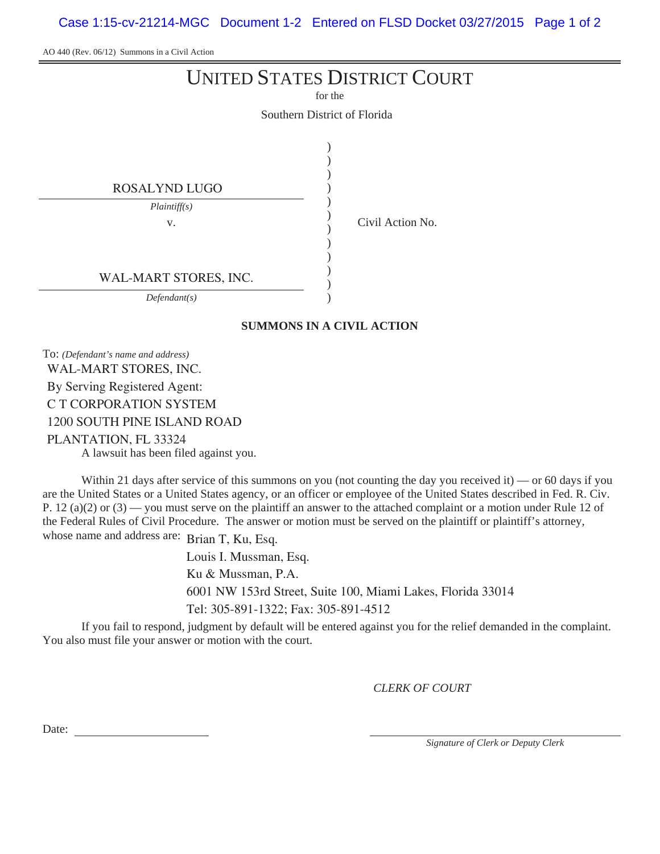Case 1:15-cv-21214-MGC Document 1-2 Entered on FLSD Docket 03/27/2015 Page 1 of 2

AO 440 (Rev. 06/12) Summons in a Civil Action

## UNITED STATES DISTRICT COURT

for the

Southern District of Florida

| ROSALYND LUGO         |  |
|-----------------------|--|
| Plaintiff(s)          |  |
| V.                    |  |
|                       |  |
|                       |  |
| WAL-MART STORES, INC. |  |
| Defendant(s)          |  |

Civil Action No.

**SUMMONS IN A CIVIL ACTION**

To: *(Defendant's name and address)*

WAL-MART STORES, INC. By Serving Registered Agent: C T CORPORATION SYSTEM 1200 SOUTH PINE ISLAND ROAD PLANTATION, FL 33324

A lawsuit has been filed against you.

Within 21 days after service of this summons on you (not counting the day you received it) — or 60 days if you are the United States or a United States agency, or an officer or employee of the United States described in Fed. R. Civ. P. 12 (a)(2) or  $(3)$  — you must serve on the plaintiff an answer to the attached complaint or a motion under Rule 12 of the Federal Rules of Civil Procedure. The answer or motion must be served on the plaintiff or plaintiff's attorney, whose name and address are: Brian T, Ku, Esq.

> Louis I. Mussman, Esq. Ku & Mussman, P.A. 6001 NW 153rd Street, Suite 100, Miami Lakes, Florida 33014 Tel: 305-891-1322; Fax: 305-891-4512

If you fail to respond, judgment by default will be entered against you for the relief demanded in the complaint. You also must file your answer or motion with the court.

*CLERK OF COURT*

Date:

*Signature of Clerk or Deputy Clerk*